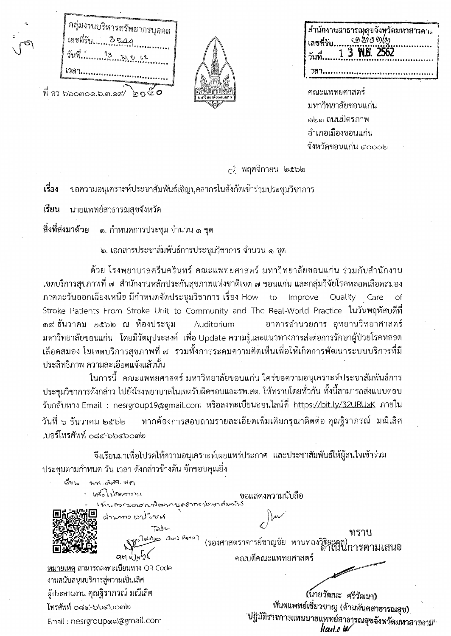กลุ่มงานบริหารทรัพยากรบุคคล เลขที่รับ…… 35⊿. ১০২০  $\bar{\mathfrak{N}}$  อว ๖๖๐๓๐๑.๖.๓.๑๙/



สำนักงานสาธารณ⁄สุขจังหวัดมหาสารคาง <u>මඟ ග@</u> เลขที่รับ.  $3$  W.U. 2562 วลา.

คณะแพทยศาสตร์ มหาวิทยาลัยขอนแก่น ๑๒๓ ถนนมิตรภาพ อำเภอเมืองขอนแก่น จังหวัดชอนแก่น ๔๐๐๐๒

haal.o W

<sub>C2</sub> พฤศจิกายน ๒๕๖๒

เรื่อง ขอความอนุเคราะห์ประชาสัมพันธ์เชิญบุคลากรในสังกัดเข้าร่วมประชุมวิชาการ

เรียน นายแพทย์สาธารณสุขจังหวัด

สิ่งที่ส่งมาด้วย ี ๑. กำหนดการประชุม จำนวน ๑ ชุด

๒. เอกสารประชาสัมพันธ์การประชุมวิชาการ จำนวน ๑ ชุด

ด้วย โรงพยาบาลศรีนครินทร์ คณะแพทยศาสตร์ มหาวิทยาลัยขอนแก่น ร่วมกับสำนักงาน เขตบริการสุขภาพที่ ๗ สำนักงานหลักประกันสุขภาพแห่งชาติเขต ๗ ขอนแก่น และกลุ่มวิจัยโรคหลอดเลือดสมอง ภาคตะวันออกเฉียงเหนือ มีกำหนดจัดประชุมวิชาการ เรื่อง How to Improve Quality Care Оf Stroke Patients From Stroke Unit to Community and The Real-World Practice ในวันพฤหัสบดีที่ ๑๙ ธันวาคม ๒๕๖๒ ณ ห้องประชุม Auditorium อาคารอำนวยการ อุทยานวิทยาศาสตร์ มหาวิทยาลัยขอนแก่น โดยมีวัตถุประสงค์ เพื่อ Update ความรู้และแนวทางการส่งต่อการรักษาผู้ป่วยโรคหลอด เลือดสมอง ในเขตบริการสุขภาพที่ ๗ รวมทั้งการระดมความคิดเห็นเพื่อให้เกิดการพัฒนาระบบบริการที่มี ประสิทธิภาพ ความละเอียดแจ้งแล้วนั้น

ในการนี้ คณะแพทยศาสตร์ มหาวิทยาลัยขอนแก่น ใคร่ขอความอนุเคราะห์ประชาสัมพันธ์การ ประชุมวิชาการดังกล่าว ไปยังโรงพยาบาลในเขตรับผิดชอบและรพ.สต. ให้ทราบโดยทั่วกัน ทั้งนี้สามารถส่งแบบตอบ รับกลับทาง Email : nesrgroup19@gmail.com หรือลงทะเบียนออนไลน์ที่ <u>https://bit.ly/32URUxK</u> ภายใน หากต้องการสอบถามรายละเอียดเพิ่มเติมกรุณาติดต่อ คุณฐิราภรณ์ มณีเลิศ วันที่ ๖ ธันวาคม ๒๕๖๒ เบอร์โทรศัพท์ ๐๘๔-๖๖๔๖๐๓๒

จึงเรียนมาเพื่อโปรดให้ความอนุเคราะห์เผยแพร่ประกาศ และประชาสัมพันธ์ให้ผู้สนใจเข้าร่วม ประชุมตามกำหนด วัน เวลา ดังกล่าวข้างต้น จักขอบคุณยิ่ง

لتخني นฑ .สสม พก เสดโปรดอาทุป ขอแสดงความนับถือ ท์างควรมอบทางพิธมาภายคลากรปภาชาดับคงิน ผ่านาทว เรป ใชยศ  $\mathbb{R}^{\mathsf{h}}$ ทราบ (รองศาสตราจารย์ชาญชัย พานทองวิธียะลูล)<br>ดำเนินการตามเสนอ لەيدى مەھەدلو ดตุแงษเ คณบดีคณะแพทยศาสตร์ หมายเหตุ สามารถลงทะเบียนทาง QR Code งานสนับสนุนบริการสู่ความเป็นเลิศ ผู้ประสานงาน คุณฐิราภรณ์ มณีเลิศ (นายวัฒนะ ศรีวัฒนา) ทันตแพทย์เชี่ยวชาญ (ด้านทันตสาธารณสุข) โทรศัพท์ ๐๘๔-๖๖๔๖๐๓๒ ิปฏิบัติราชการแทนนายแพทย์สาธารณสุขจังหวัดมหาสารคาม Email : nesrgroupයෙ@gmail.com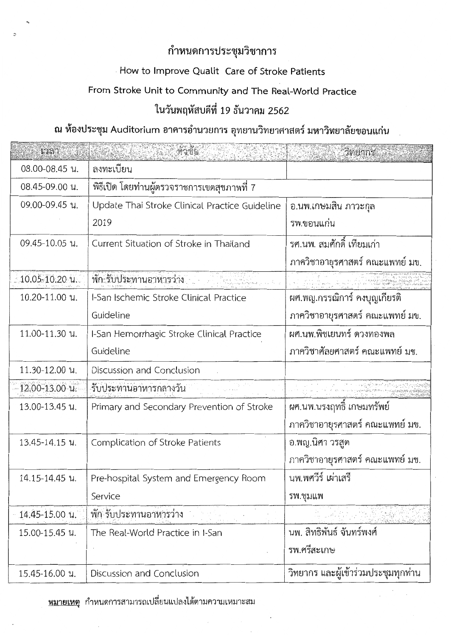## กำหนดการประชุมวิชาการ

# How to Improve Qualit Care of Stroke Patients

#### From Stroke Unit to Community and The Real-World Practice

## ในวันพฤหัสบดีที่ 19 ธันวาคม 2562

### ณ ห้องประชุม Auditorium อาคารอำนวยการ อุทยานวิทยาศาสตร์ มหาวิทยาลัยขอนแก่น

| Laan                  |                                                | วิทย์ว่าร้อนสัม                     |
|-----------------------|------------------------------------------------|-------------------------------------|
| 08.00-08.45 น.        | ลงทะเบียน                                      |                                     |
| 08.45-09.00 น.        | พิธีเปิด โดยท่านผู้ตรวจราชการเขตสุขภาพที่ 7    |                                     |
| 09.00-09.45 น.        | Update Thai Stroke Clinical Practice Guideline | อ.นพ.เกษมสิ้น ภาวะกุล               |
|                       | 2019                                           | รพ.ขอนแก่น                          |
| 09.45-10.05 น.        | Current Situation of Stroke in Thailand        | รศ.นพ. สมศักดิ์ เทียมเก่า           |
|                       |                                                | ภาควิชาอายุรศาสตร์ คณะแพทย์ มข.     |
| . 10,05-10,20 น.      | พัก รับประทานอาหารว่าง                         |                                     |
| 10.20-11.00 น.        | I-San Ischemic Stroke Clinical Practice        | ผศ.พญ.กรรณิการ์ คงบุญเกียรติ        |
|                       | Guideline                                      | ภาควิชาอายุรศาสตร์ คณะแพทย์ มข.     |
| 11.00-11.30 น.        | I-San Hemorrhagic Stroke Clinical Practice     | ผศ.นพ.พิชเยนทร์ ดวงทองพล            |
|                       | Guideline                                      | ภาควิชาศัลยศาสตร์ คณะแพทย์ มข.      |
| 11.30-12.00 น.        | Discussion and Conclusion                      |                                     |
| $12,00 - 13,00$ $u$ . | รับประทานอาหารกลางวัน                          |                                     |
| 13.00-13.45 น.        | Primary and Secondary Prevention of Stroke     | ผศ.นพ.นรงฤทธิ์ เกษมทรัพย์           |
|                       |                                                | ภาควิชาอายุรศาสตร์ คณะแพทย์ มข.     |
| 13.45-14.15 น.        | Complication of Stroke Patients                | อ.พญ.นิศา วรสูต                     |
|                       |                                                | ภาควิชาอายุรศาสตร์ คณะแพทย์ มข.     |
| 14.15-14.45 น.        | Pre-hospital System and Emergency Room         | นพ.พศวีร์ เผ่าเสรี                  |
|                       | Service                                        | รพ.ชุมแพ                            |
| 14.45-15.00 น.        | พัก รับประทานอาหารว่าง                         |                                     |
| 15.00-15.45 น.        | The Real-World Practice in I-San               | นพ. สิทธิพันธ์ จันทร์พงศ์           |
|                       |                                                | รพ.ศรีสะเกษ                         |
| 15.45-16.00 น.        | Discussion and Conclusion                      | วิทยากร และผู้เข้าร่วมประชุมทุกท่าน |

<u>หมายเหตุ</u> กำหนดการสามารถเปลี่ยนแปลงได้ตามความเหมาะสม